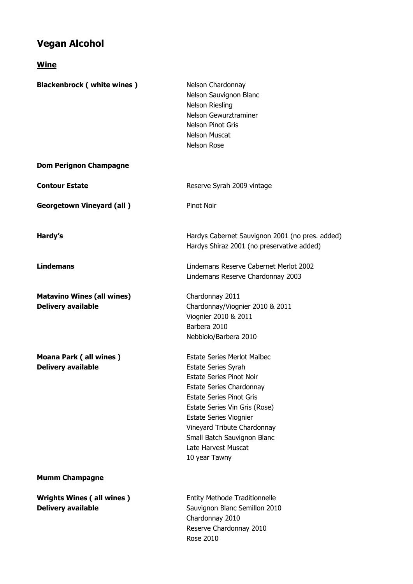## **Vegan Alcohol**

**Wine**

**Blackenbrock ( white wines )** Nelson Chardonnay Nelson Sauvignon Blanc Nelson Riesling Nelson Gewurztraminer Nelson Pinot Gris Nelson Muscat Nelson Rose **Dom Perignon Champagne Contour Estate Contour Estate** Reserve Syrah 2009 vintage **Georgetown Vineyard (all )** Pinot Noir Hardy's **Hardy's** Hardys Cabernet Sauvignon 2001 (no pres. added) Hardys Shiraz 2001 (no preservative added) **Lindemans** Lindemans Reserve Cabernet Merlot 2002 Lindemans Reserve Chardonnay 2003 **Matavino Wines (all wines)** Chardonnay 2011 **Delivery available** Chardonnay/Viognier 2010 & 2011 Viognier 2010 & 2011 Barbera 2010 Nebbiolo/Barbera 2010 **Moana Park ( all wines )** Estate Series Merlot Malbec **Delivery available Estate Series Syrah** Estate Series Pinot Noir Estate Series Chardonnay Estate Series Pinot Gris Estate Series Vin Gris (Rose) Estate Series Viognier Vineyard Tribute Chardonnay Small Batch Sauvignon Blanc Late Harvest Muscat 10 year Tawny **Mumm Champagne Wrights Wines ( all wines )** Entity Methode Traditionnelle **Delivery available Sauvignon Blanc Semillon 2010** Chardonnay 2010 Reserve Chardonnay 2010

Rose 2010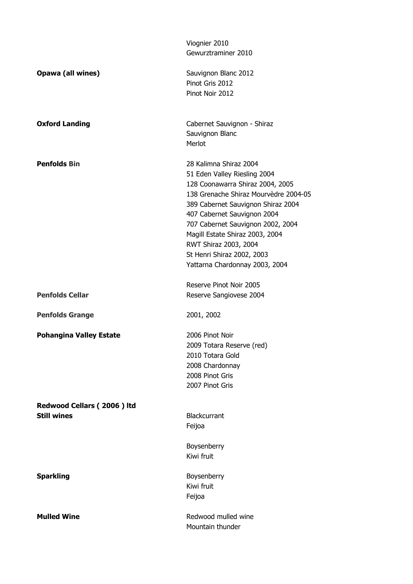|                                | Viognier 2010<br>Gewurztraminer 2010                                      |
|--------------------------------|---------------------------------------------------------------------------|
|                                |                                                                           |
| Opawa (all wines)              | Sauvignon Blanc 2012                                                      |
|                                | Pinot Gris 2012<br>Pinot Noir 2012                                        |
|                                |                                                                           |
| <b>Oxford Landing</b>          | Cabernet Sauvignon - Shiraz                                               |
|                                | Sauvignon Blanc                                                           |
|                                | Merlot                                                                    |
| <b>Penfolds Bin</b>            | 28 Kalimna Shiraz 2004                                                    |
|                                | 51 Eden Valley Riesling 2004                                              |
|                                | 128 Coonawarra Shiraz 2004, 2005<br>138 Grenache Shiraz Mourvèdre 2004-05 |
|                                | 389 Cabernet Sauvignon Shiraz 2004                                        |
|                                | 407 Cabernet Sauvignon 2004                                               |
|                                | 707 Cabernet Sauvignon 2002, 2004                                         |
|                                | Magill Estate Shiraz 2003, 2004                                           |
|                                | RWT Shiraz 2003, 2004                                                     |
|                                | St Henri Shiraz 2002, 2003                                                |
|                                | Yattarna Chardonnay 2003, 2004                                            |
|                                | Reserve Pinot Noir 2005                                                   |
| <b>Penfolds Cellar</b>         | Reserve Sangiovese 2004                                                   |
| <b>Penfolds Grange</b>         | 2001, 2002                                                                |
| <b>Pohangina Valley Estate</b> | 2006 Pinot Noir                                                           |
|                                | 2009 Totara Reserve (red)                                                 |
|                                | 2010 Totara Gold                                                          |
|                                | 2008 Chardonnay<br>2008 Pinot Gris                                        |
|                                | 2007 Pinot Gris                                                           |
|                                |                                                                           |
| Redwood Cellars (2006) Itd     |                                                                           |
| <b>Still wines</b>             | <b>Blackcurrant</b><br>Feijoa                                             |
|                                |                                                                           |
|                                | Boysenberry                                                               |
|                                | Kiwi fruit                                                                |
| <b>Sparkling</b>               | Boysenberry                                                               |
|                                | Kiwi fruit                                                                |
|                                | Feijoa                                                                    |
| <b>Mulled Wine</b>             | Redwood mulled wine                                                       |
|                                | Mountain thunder                                                          |
|                                |                                                                           |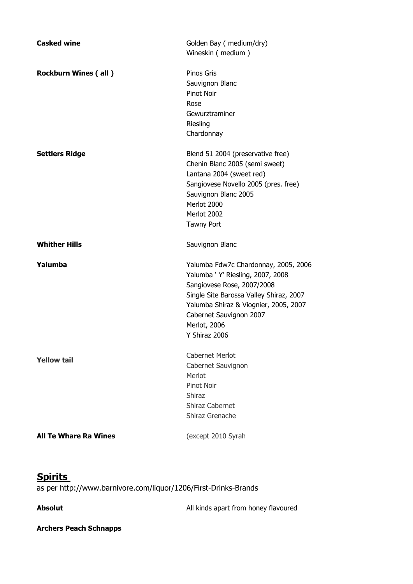| <b>Casked wine</b>           | Golden Bay ( medium/dry)<br>Wineskin (medium) |
|------------------------------|-----------------------------------------------|
|                              |                                               |
| <b>Rockburn Wines (all)</b>  | Pinos Gris                                    |
|                              | Sauvignon Blanc                               |
|                              | Pinot Noir                                    |
|                              | Rose                                          |
|                              | Gewurztraminer                                |
|                              | Riesling                                      |
|                              | Chardonnay                                    |
| <b>Settlers Ridge</b>        | Blend 51 2004 (preservative free)             |
|                              | Chenin Blanc 2005 (semi sweet)                |
|                              | Lantana 2004 (sweet red)                      |
|                              | Sangiovese Novello 2005 (pres. free)          |
|                              | Sauvignon Blanc 2005                          |
|                              | Merlot 2000                                   |
|                              | Merlot 2002                                   |
|                              | Tawny Port                                    |
| <b>Whither Hills</b>         | Sauvignon Blanc                               |
| Yalumba                      | Yalumba Fdw7c Chardonnay, 2005, 2006          |
|                              | Yalumba ' Y' Riesling, 2007, 2008             |
|                              | Sangiovese Rose, 2007/2008                    |
|                              | Single Site Barossa Valley Shiraz, 2007       |
|                              | Yalumba Shiraz & Viognier, 2005, 2007         |
|                              | Cabernet Sauvignon 2007                       |
|                              | Merlot, 2006                                  |
|                              | Y Shiraz 2006                                 |
| <b>Yellow tail</b>           | <b>Cabernet Merlot</b>                        |
|                              | Cabernet Sauvignon                            |
|                              | Merlot                                        |
|                              | Pinot Noir                                    |
|                              | <b>Shiraz</b>                                 |
|                              | Shiraz Cabernet                               |
|                              | Shiraz Grenache                               |
| <b>All Te Whare Ra Wines</b> | (except 2010 Syrah                            |
|                              |                                               |

## **Spirits**

as per http://www.barnivore.com/liquor/1206/First-Drinks-Brands

Absolut **Absolut Absolut All kinds apart from honey flavoured** 

## **Archers Peach Schnapps**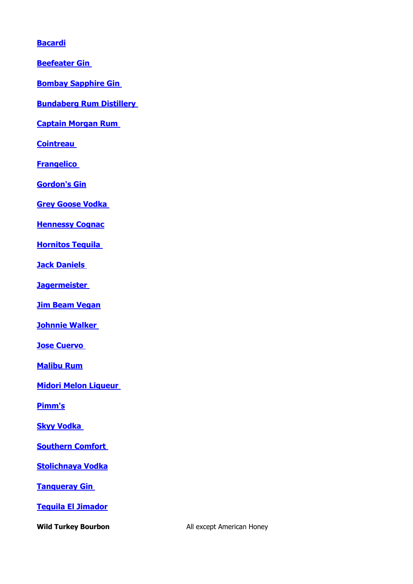## **[Bacardi](http://www.barnivore.com/liquor/173/Bacardi)**

**[Beefeater Gin](http://www.barnivore.com/liquor/196/Beefeater-Gin)** 

**[Bombay Sapphire Gin](http://www.barnivore.com/liquor/164/Bombay-Sapphire-Gin)** 

**[Bundaberg Rum Distillery](http://www.barnivore.com/liquor/963/Bundaberg-Rum-Distillery)** 

**[Captain Morgan Rum](http://www.barnivore.com/liquor/112/Captain-Morgan-Rum)** 

**[Cointreau](http://www.barnivore.com/liquor/1279/Cointreau)** 

**[Frangelico](http://www.barnivore.com/liquor/673/Frangelico)** 

**[Gordon's Gin](http://www.barnivore.com/liquor/185/Gordons-Gin)**

**[Grey Goose Vodka](http://www.barnivore.com/liquor/181/Grey-Goose-Vodka)** 

**[Hennessy Cognac](http://www.barnivore.com/liquor/349/Hennessy-Cognac)**

**[Hornitos Tequila](http://www.barnivore.com/liquor/1124/Hornitos-Tequila)** 

**[Jack Daniels](http://www.barnivore.com/liquor/123/Jack-Daniels)** 

**[Jagermeister](http://www.barnivore.com/liquor/106/Jagermeister)** 

**[Jim Beam Vegan](http://www.barnivore.com/liquor/221/Jim-Beam)**

**[Johnnie Walker](http://www.barnivore.com/liquor/197/Johnnie-Walker)** 

**Jose Cuervo** 

**[Malibu Rum](http://www.barnivore.com/liquor/557/Malibu-Rum)**

**[Midori Melon Liqueur](http://www.barnivore.com/liquor/593/Midori-Melon-Liqueur)** 

**[Pimm's](http://www.barnivore.com/liquor/382/Pimms)**

**[Skyy Vodka](http://www.barnivore.com/liquor/77/Skyy-Vodka)** 

**[Southern Comfort](http://www.barnivore.com/liquor/226/Southern-Comfort)** 

**[Stolichnaya Vodka](http://www.barnivore.com/liquor/83/Stolichnaya-Vodka)**

**Tanqueray Gin** 

**[Tequila El Jimador](http://www.barnivore.com/liquor/1339/Tequila-El-Jimador)**

**Wild Turkey Bourbon All except American Honey**